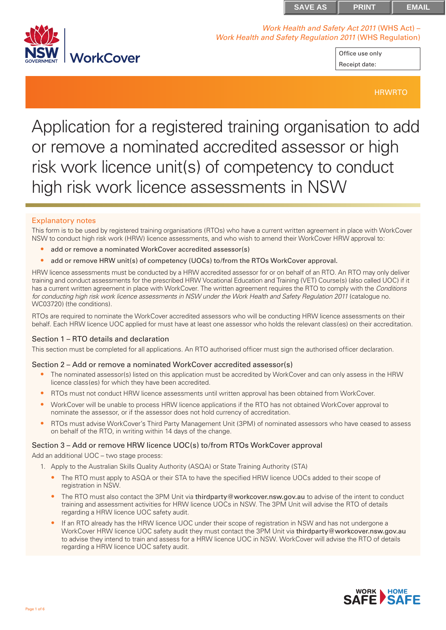

*Work Health and Safety Act 2011* (WHS Act) – *Work Health and Safety Regulation 2011* (WHS Regulation)

> Office use only Receipt date:

> > **HRWRTO**

# Application for a registered training organisation to add or remove a nominated accredited assessor or high risk work licence unit(s) of competency to conduct high risk work licence assessments in NSW

# Explanatory notes

This form is to be used by registered training organisations (RTOs) who have a current written agreement in place with WorkCover NSW to conduct high risk work (HRW) licence assessments, and who wish to amend their WorkCover HRW approval to:

- add or remove a nominated WorkCover accredited assessor(s)
- add or remove HRW unit(s) of competency (UOCs) to/from the RTOs WorkCover approval.

HRW licence assessments must be conducted by a HRW accredited assessor for or on behalf of an RTO. An RTO may only deliver training and conduct assessments for the prescribed HRW Vocational Education and Training (VET) Course(s) (also called UOC) if it has a current written agreement in place with WorkCover. The written agreement requires the RTO to comply with the *Conditions for conducting high risk work licence assessments in NSW under the Work Health and Safety Regulation 2011* (catalogue no. WC03720) (the conditions).

RTOs are required to nominate the WorkCover accredited assessors who will be conducting HRW licence assessments on their behalf. Each HRW licence UOC applied for must have at least one assessor who holds the relevant class(es) on their accreditation.

## Section 1 – RTO details and declaration

This section must be completed for all applications. An RTO authorised officer must sign the authorised officer declaration.

## Section 2 – Add or remove a nominated WorkCover accredited assessor(s)

- The nominated assessor(s) listed on this application must be accredited by WorkCover and can only assess in the HRW licence class(es) for which they have been accredited.
- RTOs must not conduct HRW licence assessments until written approval has been obtained from WorkCover.
- WorkCover will be unable to process HRW licence applications if the RTO has not obtained WorkCover approval to nominate the assessor, or if the assessor does not hold currency of accreditation.
- RTOs must advise WorkCover's Third Party Management Unit (3PM) of nominated assessors who have ceased to assess on behalf of the RTO, in writing within 14 days of the change.

## Section 3 – Add or remove HRW licence UOC(s) to/from RTOs WorkCover approval

Add an additional UOC – two stage process:

- 1. Apply to the Australian Skills Quality Authority (ASQA) or State Training Authority (STA)
	- The RTO must apply to ASQA or their STA to have the specified HRW licence UOCs added to their scope of registration in NSW.
	- The RTO must also contact the 3PM Unit via thirdparty@workcover.nsw.gov.au to advise of the intent to conduct training and assessment activities for HRW licence UOCs in NSW. The 3PM Unit will advise the RTO of details regarding a HRW licence UOC safety audit.
	- If an RTO already has the HRW licence UOC under their scope of registration in NSW and has not undergone a WorkCover HRW licence UOC safety audit they must contact the 3PM Unit via thirdparty@workcover.nsw.gov.au to advise they intend to train and assess for a HRW licence UOC in NSW. WorkCover will advise the RTO of details regarding a HRW licence UOC safety audit.

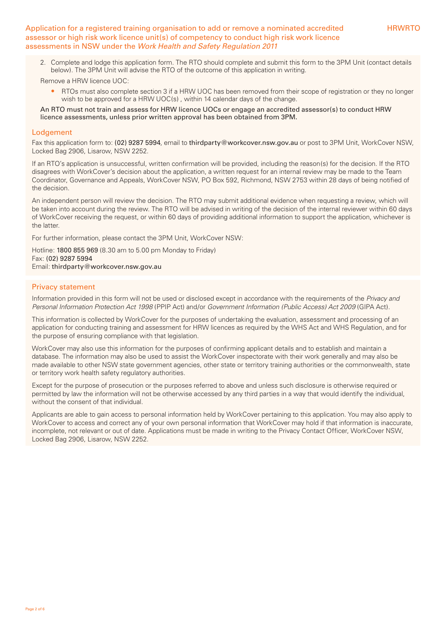2. Complete and lodge this application form. The RTO should complete and submit this form to the 3PM Unit (contact details below). The 3PM Unit will advise the RTO of the outcome of this application in writing.

Remove a HRW licence UOC:

• RTOs must also complete section 3 if a HRW UOC has been removed from their scope of registration or they no longer wish to be approved for a HRW UOC(s), within 14 calendar days of the change.

An RTO must not train and assess for HRW licence UOCs or engage an accredited assessor(s) to conduct HRW licence assessments, unless prior written approval has been obtained from 3PM.

#### **Lodgement**

Fax this application form to: (02) 9287 5994, email to thirdparty@workcover.nsw.gov.au or post to 3PM Unit, WorkCover NSW, Locked Bag 2906, Lisarow, NSW 2252.

If an RTO's application is unsuccessful, written confirmation will be provided, including the reason(s) for the decision. If the RTO disagrees with WorkCover's decision about the application, a written request for an internal review may be made to the Team Coordinator, Governance and Appeals, WorkCover NSW, PO Box 592, Richmond, NSW 2753 within 28 days of being notified of the decision.

An independent person will review the decision. The RTO may submit additional evidence when requesting a review, which will be taken into account during the review. The RTO will be advised in writing of the decision of the internal reviewer within 60 days of WorkCover receiving the request, or within 60 days of providing additional information to support the application, whichever is the latter.

For further information, please contact the 3PM Unit, WorkCover NSW:

Hotline: 1800 855 969 (8.30 am to 5.00 pm Monday to Friday) Fax: (02) 9287 5994 Email: thirdparty@workcover.nsw.gov.au

#### Privacy statement

Information provided in this form will not be used or disclosed except in accordance with the requirements of the *Privacy and Personal Information Protection Act 1998* (PPIP Act) and/or *Government Information (Public Access) Act 2009* (GIPA Act).

This information is collected by WorkCover for the purposes of undertaking the evaluation, assessment and processing of an application for conducting training and assessment for HRW licences as required by the WHS Act and WHS Regulation, and for the purpose of ensuring compliance with that legislation.

WorkCover may also use this information for the purposes of confirming applicant details and to establish and maintain a database. The information may also be used to assist the WorkCover inspectorate with their work generally and may also be made available to other NSW state government agencies, other state or territory training authorities or the commonwealth, state or territory work health safety regulatory authorities.

Except for the purpose of prosecution or the purposes referred to above and unless such disclosure is otherwise required or permitted by law the information will not be otherwise accessed by any third parties in a way that would identify the individual, without the consent of that individual.

Applicants are able to gain access to personal information held by WorkCover pertaining to this application. You may also apply to WorkCover to access and correct any of your own personal information that WorkCover may hold if that information is inaccurate, incomplete, not relevant or out of date. Applications must be made in writing to the Privacy Contact Officer, WorkCover NSW, Locked Bag 2906, Lisarow, NSW 2252.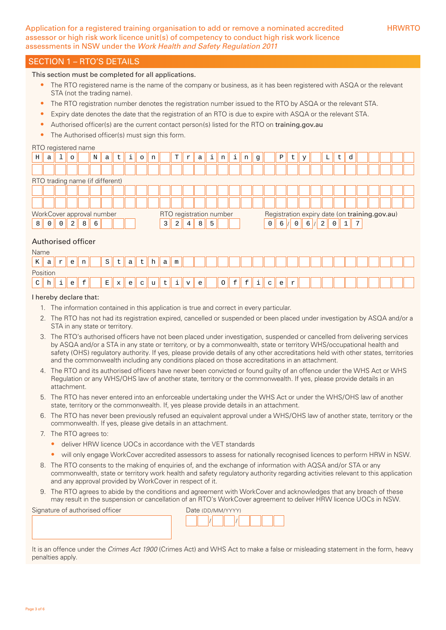#### SECTION 1 – RTO'S DETAILS

This section must be completed for all applications.

- The RTO registered name is the name of the company or business, as it has been registered with ASQA or the relevant STA (not the trading name).
- The RTO registration number denotes the registration number issued to the RTO by ASQA or the relevant STA.
- Expiry date denotes the date that the registration of an RTO is due to expire with ASQA or the relevant STA.
- Authorised officer(s) are the current contact person(s) listed for the RTO on training.gov.au
- The Authorised officer(s) must sign this form.

#### RTO registered name

| $\rm H$                                                                          | a                               |  | $\circ$ |  | N | a | t                                                             | п. | $\circ$ | n |  | T | r | a                                                                                | i | n | i | n | g |  | Ρ |  | $\vee$ |  | Г |  |  |  |  |  |
|----------------------------------------------------------------------------------|---------------------------------|--|---------|--|---|---|---------------------------------------------------------------|----|---------|---|--|---|---|----------------------------------------------------------------------------------|---|---|---|---|---|--|---|--|--------|--|---|--|--|--|--|--|
|                                                                                  |                                 |  |         |  |   |   |                                                               |    |         |   |  |   |   |                                                                                  |   |   |   |   |   |  |   |  |        |  |   |  |  |  |  |  |
|                                                                                  | RTO trading name (if different) |  |         |  |   |   |                                                               |    |         |   |  |   |   |                                                                                  |   |   |   |   |   |  |   |  |        |  |   |  |  |  |  |  |
|                                                                                  |                                 |  |         |  |   |   |                                                               |    |         |   |  |   |   |                                                                                  |   |   |   |   |   |  |   |  |        |  |   |  |  |  |  |  |
|                                                                                  |                                 |  |         |  |   |   |                                                               |    |         |   |  |   |   |                                                                                  |   |   |   |   |   |  |   |  |        |  |   |  |  |  |  |  |
| WorkCover approval number<br>2 <sub>1</sub><br>8<br>8<br>$\mathbf 0$<br> 0 <br>6 |                                 |  |         |  |   |   | RTO registration number<br>3 <sub>1</sub><br>8<br>5<br>2<br>4 |    |         |   |  |   |   | Registration expiry date (on training.gov.au)<br>7<br>6<br>2<br>$\mathbf 0$<br>6 |   |   |   |   |   |  |   |  |        |  |   |  |  |  |  |  |

### Authorised officer

| Name         |          |          |   |                        |  |   |              |                |              |          |     |    |               |   |         |                                      |                        |          |   |   |                    |  |  |  |  |  |
|--------------|----------|----------|---|------------------------|--|---|--------------|----------------|--------------|----------|-----|----|---------------|---|---------|--------------------------------------|------------------------|----------|---|---|--------------------|--|--|--|--|--|
| K            | a        | $\sim$   | e | n                      |  | S | t            | a              | t            | . .<br>h | a   | m  |               |   |         |                                      |                        |          |   |   |                    |  |  |  |  |  |
|              | Position |          |   |                        |  |   |              |                |              |          |     |    |               |   |         |                                      |                        |          |   |   |                    |  |  |  |  |  |
| $\mathsf{C}$ | n<br>ᆠᅶ  | <b>.</b> | e | $\epsilon$<br><b>_</b> |  | Ε | $\mathbf{x}$ | e <sub>h</sub> | $\mathbf{C}$ | u II     | 't⊾ | i∥ | $\mathbf {V}$ | e | $\circ$ | $\overline{\phantom{0}}$<br><b>.</b> | $\epsilon$<br><b>+</b> | <b>+</b> | C | e | $\sim$<br><b>.</b> |  |  |  |  |  |

#### I hereby declare that:

- 1. The information contained in this application is true and correct in every particular.
- 2. The RTO has not had its registration expired, cancelled or suspended or been placed under investigation by ASQA and/or a STA in any state or territory.
- 3. The RTO's authorised officers have not been placed under investigation, suspended or cancelled from delivering services by ASQA and/or a STA in any state or territory, or by a commonwealth, state or territory WHS/occupational health and safety (OHS) regulatory authority. If yes, please provide details of any other accreditations held with other states, territories and the commonwealth including any conditions placed on those accreditations in an attachment.
- 4. The RTO and its authorised officers have never been convicted or found guilty of an offence under the WHS Act or WHS Regulation or any WHS/OHS law of another state, territory or the commonwealth. If yes, please provide details in an attachment.
- 5. The RTO has never entered into an enforceable undertaking under the WHS Act or under the WHS/OHS law of another state, territory or the commonwealth. If, yes please provide details in an attachment.
- 6. The RTO has never been previously refused an equivalent approval under a WHS/OHS law of another state, territory or the commonwealth. If yes, please give details in an attachment.
- 7. The RTO agrees to:
	- deliver HRW licence UOCs in accordance with the VET standards
	- will only engage WorkCover accredited assessors to assess for nationally recognised licences to perform HRW in NSW.
- 8. The RTO consents to the making of enquiries of, and the exchange of information with AQSA and/or STA or any commonwealth, state or territory work health and safety regulatory authority regarding activities relevant to this application and any approval provided by WorkCover in respect of it.
- 9. The RTO agrees to abide by the conditions and agreement with WorkCover and acknowledges that any breach of these may result in the suspension or cancellation of an RTO's WorkCover agreement to deliver HRW licence UOCs in NSW.

| Signature of authorised officer | Date (DD/MM/YYYY) |
|---------------------------------|-------------------|
|                                 |                   |
|                                 |                   |

It is an offence under the *Crimes Act 1900* (Crimes Act) and WHS Act to make a false or misleading statement in the form, heavy penalties apply.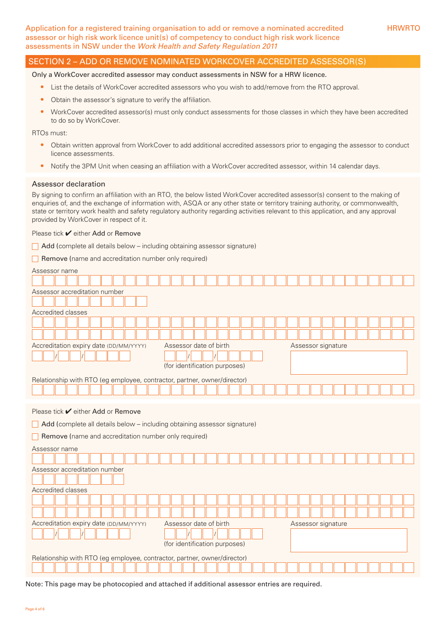## SECTION 2 – ADD OR REMOVE NOMINATED WORKCOVER ACCREDITED ASSESSOR(S)

Only a WorkCover accredited assessor may conduct assessments in NSW for a HRW licence.

- List the details of WorkCover accredited assessors who you wish to add/remove from the RTO approval.
- Obtain the assessor's signature to verify the affiliation.
- WorkCover accredited assessor(s) must only conduct assessments for those classes in which they have been accredited to do so by WorkCover.

RTOs must:

- Obtain written approval from WorkCover to add additional accredited assessors prior to engaging the assessor to conduct licence assessments.
- Notify the 3PM Unit when ceasing an affiliation with a WorkCover accredited assessor, within 14 calendar days.

#### Assessor declaration

By signing to confirm an affiliation with an RTO, the below listed WorkCover accredited assessor(s) consent to the making of enquiries of, and the exchange of information with, ASQA or any other state or territory training authority, or commonwealth, state or territory work health and safety regulatory authority regarding activities relevant to this application, and any approval provided by WorkCover in respect of it.

#### Please tick ✔ either Add or Remove

- $\Box$  Add (complete all details below including obtaining assessor signature)
- Remove (name and accreditation number only required)

| Assessor name                                                                          |  |  |  |  |  |  |  |  |  |  |  |
|----------------------------------------------------------------------------------------|--|--|--|--|--|--|--|--|--|--|--|
|                                                                                        |  |  |  |  |  |  |  |  |  |  |  |
| Assessor accreditation number                                                          |  |  |  |  |  |  |  |  |  |  |  |
|                                                                                        |  |  |  |  |  |  |  |  |  |  |  |
| Accredited classes                                                                     |  |  |  |  |  |  |  |  |  |  |  |
|                                                                                        |  |  |  |  |  |  |  |  |  |  |  |
|                                                                                        |  |  |  |  |  |  |  |  |  |  |  |
| Accreditation expiry date (DD/MM/YYYY)<br>Assessor date of birth<br>Assessor signature |  |  |  |  |  |  |  |  |  |  |  |
|                                                                                        |  |  |  |  |  |  |  |  |  |  |  |
| (for identification purposes)                                                          |  |  |  |  |  |  |  |  |  |  |  |
| Relationship with RTO (eg employee, contractor, partner, owner/director)               |  |  |  |  |  |  |  |  |  |  |  |
| Please tick $\blacktriangleright$ either Add or Remove                                 |  |  |  |  |  |  |  |  |  |  |  |
| Add (complete all details below – including obtaining assessor signature)              |  |  |  |  |  |  |  |  |  |  |  |
| Remove (name and accreditation number only required)                                   |  |  |  |  |  |  |  |  |  |  |  |
| Assessor name                                                                          |  |  |  |  |  |  |  |  |  |  |  |

| Assessor accreditation number                                            |                        |                    |  |  |  |  |  |  |  |  |  |
|--------------------------------------------------------------------------|------------------------|--------------------|--|--|--|--|--|--|--|--|--|
| Accredited classes                                                       |                        |                    |  |  |  |  |  |  |  |  |  |
|                                                                          |                        |                    |  |  |  |  |  |  |  |  |  |
|                                                                          |                        |                    |  |  |  |  |  |  |  |  |  |
| Accreditation expiry date (DD/MM/YYYY)                                   | Assessor date of birth | Assessor signature |  |  |  |  |  |  |  |  |  |
|                                                                          |                        |                    |  |  |  |  |  |  |  |  |  |
| (for identification purposes)                                            |                        |                    |  |  |  |  |  |  |  |  |  |
| Relationship with RTO (eg employee, contractor, partner, owner/director) |                        |                    |  |  |  |  |  |  |  |  |  |
|                                                                          |                        |                    |  |  |  |  |  |  |  |  |  |

Note: This page may be photocopied and attached if additional assessor entries are required.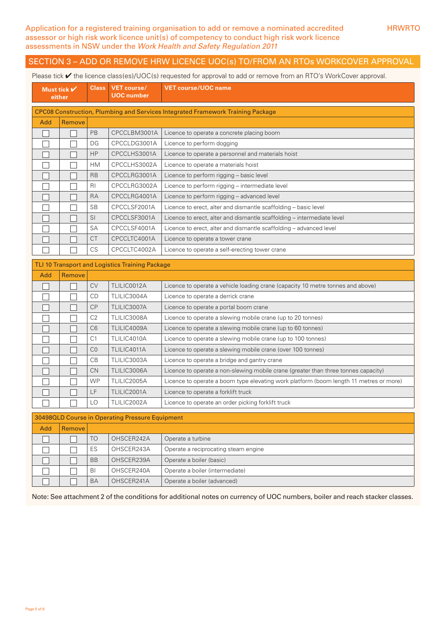# SECTION 3 – ADD OR REMOVE HRW LICENCE UOC(s) TO/FROM AN RTOs WORKCOVER APPROVAL

Please tick ✔ the licence class(es)/UOC(s) requested for approval to add or remove from an RTO's WorkCover approval.

|     | Must tick $V$<br>either                                                         |           | VET course/<br><b>UOC</b> number | <b>VET course/UOC name</b>                                             |  |  |  |  |  |  |  |
|-----|---------------------------------------------------------------------------------|-----------|----------------------------------|------------------------------------------------------------------------|--|--|--|--|--|--|--|
|     | CPC08 Construction, Plumbing and Services Integrated Framework Training Package |           |                                  |                                                                        |  |  |  |  |  |  |  |
| Add | Remove                                                                          |           |                                  |                                                                        |  |  |  |  |  |  |  |
|     |                                                                                 | <b>PB</b> | CPCCLBM3001A                     | Licence to operate a concrete placing boom                             |  |  |  |  |  |  |  |
|     |                                                                                 | DG        | CPCCLDG3001A                     | Licence to perform dogging                                             |  |  |  |  |  |  |  |
|     |                                                                                 | HP        | CPCCLHS3001A                     | Licence to operate a personnel and materials hoist                     |  |  |  |  |  |  |  |
|     |                                                                                 | <b>HM</b> | CPCCLHS3002A                     | Licence to operate a materials hoist                                   |  |  |  |  |  |  |  |
|     |                                                                                 | <b>RB</b> | CPCCLRG3001A                     | Licence to perform rigging – basic level                               |  |  |  |  |  |  |  |
|     |                                                                                 | RI.       | CPCCLRG3002A                     | Licence to perform rigging – intermediate level                        |  |  |  |  |  |  |  |
|     |                                                                                 | <b>RA</b> | CPCCLRG4001A                     | Licence to perform rigging – advanced level                            |  |  |  |  |  |  |  |
|     |                                                                                 | <b>SB</b> | CPCCLSF2001A                     | Licence to erect, alter and dismantle scaffolding - basic level        |  |  |  |  |  |  |  |
|     |                                                                                 | <b>SI</b> | CPCCLSF3001A                     | Licence to erect, alter and dismantle scaffolding – intermediate level |  |  |  |  |  |  |  |
|     |                                                                                 | <b>SA</b> | CPCCLSF4001A                     | Licence to erect, alter and dismantle scaffolding – advanced level     |  |  |  |  |  |  |  |
|     |                                                                                 | <b>CT</b> | CPCCLTC4001A                     | Licence to operate a tower crane                                       |  |  |  |  |  |  |  |
|     |                                                                                 | CS.       | CPCCLTC4002A                     | Licence to operate a self-erecting tower crane                         |  |  |  |  |  |  |  |

|     |               |                | <b>TLI 10 Transport and Logistics Training Package</b> |                                                                                        |
|-----|---------------|----------------|--------------------------------------------------------|----------------------------------------------------------------------------------------|
| Add | <b>Remove</b> |                |                                                        |                                                                                        |
|     |               | <b>CV</b>      | TLILIC0012A                                            | Licence to operate a vehicle loading crane (capacity 10 metre tonnes and above)        |
|     |               | <b>CD</b>      | TLILIC3004A                                            | Licence to operate a derrick crane                                                     |
|     |               | CP             | TLILIC3007A                                            | Licence to operate a portal boom crane                                                 |
|     |               | C <sub>2</sub> | TLILIC3008A                                            | Licence to operate a slewing mobile crane (up to 20 tonnes)                            |
|     |               | C <sub>6</sub> | TLILIC4009A                                            | Licence to operate a slewing mobile crane (up to 60 tonnes)                            |
|     |               | C <sub>1</sub> | TLILIC4010A                                            | Licence to operate a slewing mobile crane (up to 100 tonnes)                           |
|     |               | CO             | TLILIC4011A                                            | Licence to operate a slewing mobile crane (over 100 tonnes)                            |
|     |               | CB.            | TLILIC3003A                                            | Licence to operate a bridge and gantry crane                                           |
|     |               | <b>CN</b>      | TLILIC3006A                                            | Licence to operate a non-slewing mobile crane (greater than three tonnes capacity)     |
|     |               | <b>WP</b>      | TLILIC2005A                                            | Licence to operate a boom type elevating work platform (boom length 11 metres or more) |
|     |               | LF             | TLILIC2001A                                            | Licence to operate a forklift truck                                                    |
|     |               | LO             | TLILIC2002A                                            | Licence to operate an order picking forklift truck                                     |

|     | 30498QLD Course in Operating Pressure Equipment |           |            |                                      |  |  |  |  |  |  |  |
|-----|-------------------------------------------------|-----------|------------|--------------------------------------|--|--|--|--|--|--|--|
| Add | Remove                                          |           |            |                                      |  |  |  |  |  |  |  |
|     |                                                 | TO.       | OHSCER242A | Operate a turbine                    |  |  |  |  |  |  |  |
|     |                                                 | ES        | OHSCER243A | Operate a reciprocating steam engine |  |  |  |  |  |  |  |
|     |                                                 | <b>BB</b> | OHSCER239A | Operate a boiler (basic)             |  |  |  |  |  |  |  |
|     |                                                 | BI        | OHSCER240A | Operate a boiler (intermediate)      |  |  |  |  |  |  |  |
|     |                                                 | <b>BA</b> | OHSCER241A | Operate a boiler (advanced)          |  |  |  |  |  |  |  |

Note: See attachment 2 of the conditions for additional notes on currency of UOC numbers, boiler and reach stacker classes.